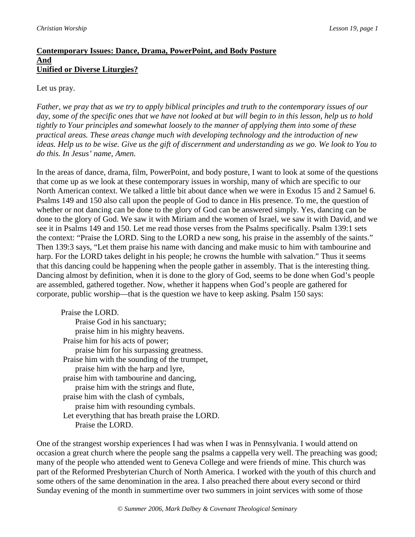# **Contemporary Issues: Dance, Drama, PowerPoint, and Body Posture And Unified or Diverse Liturgies?**

## Let us pray.

*Father, we pray that as we try to apply biblical principles and truth to the contemporary issues of our day, some of the specific ones that we have not looked at but will begin to in this lesson, help us to hold tightly to Your principles and somewhat loosely to the manner of applying them into some of these practical areas. These areas change much with developing technology and the introduction of new ideas. Help us to be wise. Give us the gift of discernment and understanding as we go. We look to You to do this. In Jesus' name, Amen.* 

In the areas of dance, drama, film, PowerPoint, and body posture, I want to look at some of the questions that come up as we look at these contemporary issues in worship, many of which are specific to our North American context. We talked a little bit about dance when we were in Exodus 15 and 2 Samuel 6. Psalms 149 and 150 also call upon the people of God to dance in His presence. To me, the question of whether or not dancing can be done to the glory of God can be answered simply. Yes, dancing can be done to the glory of God. We saw it with Miriam and the women of Israel, we saw it with David, and we see it in Psalms 149 and 150. Let me read those verses from the Psalms specifically. Psalm 139:1 sets the context: "Praise the LORD. Sing to the LORD a new song, his praise in the assembly of the saints." Then 139:3 says, "Let them praise his name with dancing and make music to him with tambourine and harp. For the LORD takes delight in his people; he crowns the humble with salvation." Thus it seems that this dancing could be happening when the people gather in assembly. That is the interesting thing. Dancing almost by definition, when it is done to the glory of God, seems to be done when God's people are assembled, gathered together. Now, whether it happens when God's people are gathered for corporate, public worship—that is the question we have to keep asking. Psalm 150 says:

Praise the LORD. Praise God in his sanctuary; praise him in his mighty heavens. Praise him for his acts of power; praise him for his surpassing greatness. Praise him with the sounding of the trumpet, praise him with the harp and lyre, praise him with tambourine and dancing, praise him with the strings and flute, praise him with the clash of cymbals, praise him with resounding cymbals. Let everything that has breath praise the LORD. Praise the LORD.

One of the strangest worship experiences I had was when I was in Pennsylvania. I would attend on occasion a great church where the people sang the psalms a cappella very well. The preaching was good; many of the people who attended went to Geneva College and were friends of mine. This church was part of the Reformed Presbyterian Church of North America. I worked with the youth of this church and some others of the same denomination in the area. I also preached there about every second or third Sunday evening of the month in summertime over two summers in joint services with some of those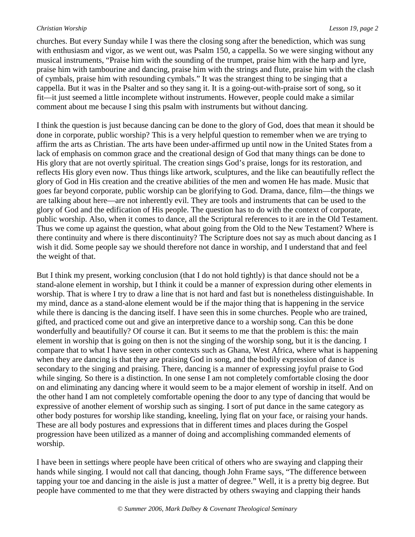churches. But every Sunday while I was there the closing song after the benediction, which was sung with enthusiasm and vigor, as we went out, was Psalm 150, a cappella. So we were singing without any musical instruments, "Praise him with the sounding of the trumpet, praise him with the harp and lyre, praise him with tambourine and dancing, praise him with the strings and flute, praise him with the clash of cymbals, praise him with resounding cymbals." It was the strangest thing to be singing that a cappella. But it was in the Psalter and so they sang it. It is a going-out-with-praise sort of song, so it fit—it just seemed a little incomplete without instruments. However, people could make a similar comment about me because I sing this psalm with instruments but without dancing.

I think the question is just because dancing can be done to the glory of God, does that mean it should be done in corporate, public worship? This is a very helpful question to remember when we are trying to affirm the arts as Christian. The arts have been under-affirmed up until now in the United States from a lack of emphasis on common grace and the creational design of God that many things can be done to His glory that are not overtly spiritual. The creation sings God's praise, longs for its restoration, and reflects His glory even now. Thus things like artwork, sculptures, and the like can beautifully reflect the glory of God in His creation and the creative abilities of the men and women He has made. Music that goes far beyond corporate, public worship can be glorifying to God. Drama, dance, film—the things we are talking about here—are not inherently evil. They are tools and instruments that can be used to the glory of God and the edification of His people. The question has to do with the context of corporate, public worship. Also, when it comes to dance, all the Scriptural references to it are in the Old Testament. Thus we come up against the question, what about going from the Old to the New Testament? Where is there continuity and where is there discontinuity? The Scripture does not say as much about dancing as I wish it did. Some people say we should therefore not dance in worship, and I understand that and feel the weight of that.

But I think my present, working conclusion (that I do not hold tightly) is that dance should not be a stand-alone element in worship, but I think it could be a manner of expression during other elements in worship. That is where I try to draw a line that is not hard and fast but is nonetheless distinguishable. In my mind, dance as a stand-alone element would be if the major thing that is happening in the service while there is dancing is the dancing itself. I have seen this in some churches. People who are trained, gifted, and practiced come out and give an interpretive dance to a worship song. Can this be done wonderfully and beautifully? Of course it can. But it seems to me that the problem is this: the main element in worship that is going on then is not the singing of the worship song, but it is the dancing. I compare that to what I have seen in other contexts such as Ghana, West Africa, where what is happening when they are dancing is that they are praising God in song, and the bodily expression of dance is secondary to the singing and praising. There, dancing is a manner of expressing joyful praise to God while singing. So there is a distinction. In one sense I am not completely comfortable closing the door on and eliminating any dancing where it would seem to be a major element of worship in itself. And on the other hand I am not completely comfortable opening the door to any type of dancing that would be expressive of another element of worship such as singing. I sort of put dance in the same category as other body postures for worship like standing, kneeling, lying flat on your face, or raising your hands. These are all body postures and expressions that in different times and places during the Gospel progression have been utilized as a manner of doing and accomplishing commanded elements of worship.

I have been in settings where people have been critical of others who are swaying and clapping their hands while singing. I would not call that dancing, though John Frame says, "The difference between tapping your toe and dancing in the aisle is just a matter of degree." Well, it is a pretty big degree. But people have commented to me that they were distracted by others swaying and clapping their hands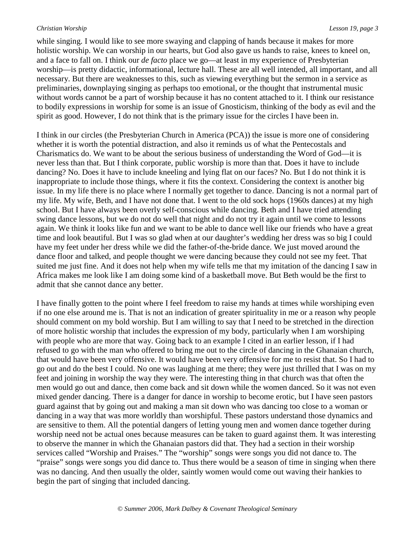while singing. I would like to see more swaying and clapping of hands because it makes for more holistic worship. We can worship in our hearts, but God also gave us hands to raise, knees to kneel on, and a face to fall on. I think our *de facto* place we go—at least in my experience of Presbyterian worship—is pretty didactic, informational, lecture hall. These are all well intended, all important, and all necessary. But there are weaknesses to this, such as viewing everything but the sermon in a service as preliminaries, downplaying singing as perhaps too emotional, or the thought that instrumental music without words cannot be a part of worship because it has no content attached to it. I think our resistance to bodily expressions in worship for some is an issue of Gnosticism, thinking of the body as evil and the spirit as good. However, I do not think that is the primary issue for the circles I have been in.

I think in our circles (the Presbyterian Church in America (PCA)) the issue is more one of considering whether it is worth the potential distraction, and also it reminds us of what the Pentecostals and Charismatics do. We want to be about the serious business of understanding the Word of God—it is never less than that. But I think corporate, public worship is more than that. Does it have to include dancing? No. Does it have to include kneeling and lying flat on our faces? No. But I do not think it is inappropriate to include those things, where it fits the context. Considering the context is another big issue. In my life there is no place where I normally get together to dance. Dancing is not a normal part of my life. My wife, Beth, and I have not done that. I went to the old sock hops (1960s dances) at my high school. But I have always been overly self-conscious while dancing. Beth and I have tried attending swing dance lessons, but we do not do well that night and do not try it again until we come to lessons again. We think it looks like fun and we want to be able to dance well like our friends who have a great time and look beautiful. But I was so glad when at our daughter's wedding her dress was so big I could have my feet under her dress while we did the father-of-the-bride dance. We just moved around the dance floor and talked, and people thought we were dancing because they could not see my feet. That suited me just fine. And it does not help when my wife tells me that my imitation of the dancing I saw in Africa makes me look like I am doing some kind of a basketball move. But Beth would be the first to admit that she cannot dance any better.

I have finally gotten to the point where I feel freedom to raise my hands at times while worshiping even if no one else around me is. That is not an indication of greater spirituality in me or a reason why people should comment on my bold worship. But I am willing to say that I need to be stretched in the direction of more holistic worship that includes the expression of my body, particularly when I am worshiping with people who are more that way. Going back to an example I cited in an earlier lesson, if I had refused to go with the man who offered to bring me out to the circle of dancing in the Ghanaian church, that would have been very offensive. It would have been very offensive for me to resist that. So I had to go out and do the best I could. No one was laughing at me there; they were just thrilled that I was on my feet and joining in worship the way they were. The interesting thing in that church was that often the men would go out and dance, then come back and sit down while the women danced. So it was not even mixed gender dancing. There is a danger for dance in worship to become erotic, but I have seen pastors guard against that by going out and making a man sit down who was dancing too close to a woman or dancing in a way that was more worldly than worshipful. These pastors understand those dynamics and are sensitive to them. All the potential dangers of letting young men and women dance together during worship need not be actual ones because measures can be taken to guard against them. It was interesting to observe the manner in which the Ghanaian pastors did that. They had a section in their worship services called "Worship and Praises." The "worship" songs were songs you did not dance to. The "praise" songs were songs you did dance to. Thus there would be a season of time in singing when there was no dancing. And then usually the older, saintly women would come out waving their hankies to begin the part of singing that included dancing.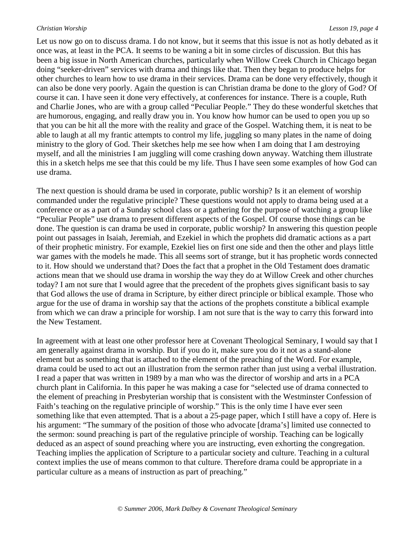Let us now go on to discuss drama. I do not know, but it seems that this issue is not as hotly debated as it once was, at least in the PCA. It seems to be waning a bit in some circles of discussion. But this has been a big issue in North American churches, particularly when Willow Creek Church in Chicago began doing "seeker-driven" services with drama and things like that. Then they began to produce helps for other churches to learn how to use drama in their services. Drama can be done very effectively, though it can also be done very poorly. Again the question is can Christian drama be done to the glory of God? Of course it can. I have seen it done very effectively, at conferences for instance. There is a couple, Ruth and Charlie Jones, who are with a group called "Peculiar People." They do these wonderful sketches that are humorous, engaging, and really draw you in. You know how humor can be used to open you up so that you can be hit all the more with the reality and grace of the Gospel. Watching them, it is neat to be able to laugh at all my frantic attempts to control my life, juggling so many plates in the name of doing ministry to the glory of God. Their sketches help me see how when I am doing that I am destroying myself, and all the ministries I am juggling will come crashing down anyway. Watching them illustrate this in a sketch helps me see that this could be my life. Thus I have seen some examples of how God can use drama.

The next question is should drama be used in corporate, public worship? Is it an element of worship commanded under the regulative principle? These questions would not apply to drama being used at a conference or as a part of a Sunday school class or a gathering for the purpose of watching a group like "Peculiar People" use drama to present different aspects of the Gospel. Of course those things can be done. The question is can drama be used in corporate, public worship? In answering this question people point out passages in Isaiah, Jeremiah, and Ezekiel in which the prophets did dramatic actions as a part of their prophetic ministry. For example, Ezekiel lies on first one side and then the other and plays little war games with the models he made. This all seems sort of strange, but it has prophetic words connected to it. How should we understand that? Does the fact that a prophet in the Old Testament does dramatic actions mean that we should use drama in worship the way they do at Willow Creek and other churches today? I am not sure that I would agree that the precedent of the prophets gives significant basis to say that God allows the use of drama in Scripture, by either direct principle or biblical example. Those who argue for the use of drama in worship say that the actions of the prophets constitute a biblical example from which we can draw a principle for worship. I am not sure that is the way to carry this forward into the New Testament.

In agreement with at least one other professor here at Covenant Theological Seminary, I would say that I am generally against drama in worship. But if you do it, make sure you do it not as a stand-alone element but as something that is attached to the element of the preaching of the Word. For example, drama could be used to act out an illustration from the sermon rather than just using a verbal illustration. I read a paper that was written in 1989 by a man who was the director of worship and arts in a PCA church plant in California. In this paper he was making a case for "selected use of drama connected to the element of preaching in Presbyterian worship that is consistent with the Westminster Confession of Faith's teaching on the regulative principle of worship." This is the only time I have ever seen something like that even attempted. That is a about a 25-page paper, which I still have a copy of. Here is his argument: "The summary of the position of those who advocate [drama's] limited use connected to the sermon: sound preaching is part of the regulative principle of worship. Teaching can be logically deduced as an aspect of sound preaching where you are instructing, even exhorting the congregation. Teaching implies the application of Scripture to a particular society and culture. Teaching in a cultural context implies the use of means common to that culture. Therefore drama could be appropriate in a particular culture as a means of instruction as part of preaching."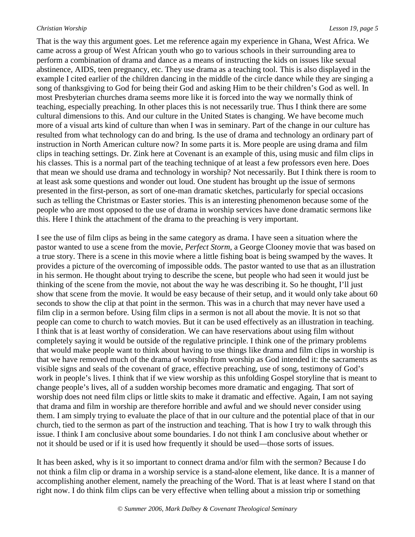That is the way this argument goes. Let me reference again my experience in Ghana, West Africa. We came across a group of West African youth who go to various schools in their surrounding area to perform a combination of drama and dance as a means of instructing the kids on issues like sexual abstinence, AIDS, teen pregnancy, etc. They use drama as a teaching tool. This is also displayed in the example I cited earlier of the children dancing in the middle of the circle dance while they are singing a song of thanksgiving to God for being their God and asking Him to be their children's God as well. In most Presbyterian churches drama seems more like it is forced into the way we normally think of teaching, especially preaching. In other places this is not necessarily true. Thus I think there are some cultural dimensions to this. And our culture in the United States is changing. We have become much more of a visual arts kind of culture than when I was in seminary. Part of the change in our culture has resulted from what technology can do and bring. Is the use of drama and technology an ordinary part of instruction in North American culture now? In some parts it is. More people are using drama and film clips in teaching settings. Dr. Zink here at Covenant is an example of this, using music and film clips in his classes. This is a normal part of the teaching technique of at least a few professors even here. Does that mean we should use drama and technology in worship? Not necessarily. But I think there is room to at least ask some questions and wonder out loud. One student has brought up the issue of sermons presented in the first-person, as sort of one-man dramatic sketches, particularly for special occasions such as telling the Christmas or Easter stories. This is an interesting phenomenon because some of the people who are most opposed to the use of drama in worship services have done dramatic sermons like this. Here I think the attachment of the drama to the preaching is very important.

I see the use of film clips as being in the same category as drama. I have seen a situation where the pastor wanted to use a scene from the movie, *Perfect Storm*, a George Clooney movie that was based on a true story. There is a scene in this movie where a little fishing boat is being swamped by the waves. It provides a picture of the overcoming of impossible odds. The pastor wanted to use that as an illustration in his sermon. He thought about trying to describe the scene, but people who had seen it would just be thinking of the scene from the movie, not about the way he was describing it. So he thought, I'll just show that scene from the movie. It would be easy because of their setup, and it would only take about 60 seconds to show the clip at that point in the sermon. This was in a church that may never have used a film clip in a sermon before. Using film clips in a sermon is not all about the movie. It is not so that people can come to church to watch movies. But it can be used effectively as an illustration in teaching. I think that is at least worthy of consideration. We can have reservations about using film without completely saying it would be outside of the regulative principle. I think one of the primary problems that would make people want to think about having to use things like drama and film clips in worship is that we have removed much of the drama of worship from worship as God intended it: the sacraments as visible signs and seals of the covenant of grace, effective preaching, use of song, testimony of God's work in people's lives. I think that if we view worship as this unfolding Gospel storyline that is meant to change people's lives, all of a sudden worship becomes more dramatic and engaging. That sort of worship does not need film clips or little skits to make it dramatic and effective. Again, I am not saying that drama and film in worship are therefore horrible and awful and we should never consider using them. I am simply trying to evaluate the place of that in our culture and the potential place of that in our church, tied to the sermon as part of the instruction and teaching. That is how I try to walk through this issue. I think I am conclusive about some boundaries. I do not think I am conclusive about whether or not it should be used or if it is used how frequently it should be used—those sorts of issues.

It has been asked, why is it so important to connect drama and/or film with the sermon? Because I do not think a film clip or drama in a worship service is a stand-alone element, like dance. It is a manner of accomplishing another element, namely the preaching of the Word. That is at least where I stand on that right now. I do think film clips can be very effective when telling about a mission trip or something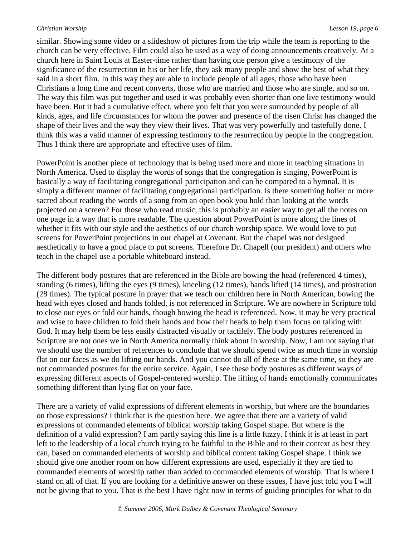similar. Showing some video or a slideshow of pictures from the trip while the team is reporting to the church can be very effective. Film could also be used as a way of doing announcements creatively. At a church here in Saint Louis at Easter-time rather than having one person give a testimony of the significance of the resurrection in his or her life, they ask many people and show the best of what they said in a short film. In this way they are able to include people of all ages, those who have been Christians a long time and recent converts, those who are married and those who are single, and so on. The way this film was put together and used it was probably even shorter than one live testimony would have been. But it had a cumulative effect, where you felt that you were surrounded by people of all kinds, ages, and life circumstances for whom the power and presence of the risen Christ has changed the shape of their lives and the way they view their lives. That was very powerfully and tastefully done. I think this was a valid manner of expressing testimony to the resurrection by people in the congregation. Thus I think there are appropriate and effective uses of film.

PowerPoint is another piece of technology that is being used more and more in teaching situations in North America. Used to display the words of songs that the congregation is singing, PowerPoint is basically a way of facilitating congregational participation and can be compared to a hymnal. It is simply a different manner of facilitating congregational participation. Is there something holier or more sacred about reading the words of a song from an open book you hold than looking at the words projected on a screen? For those who read music, this is probably an easier way to get all the notes on one page in a way that is more readable. The question about PowerPoint is more along the lines of whether it fits with our style and the aesthetics of our church worship space. We would love to put screens for PowerPoint projections in our chapel at Covenant. But the chapel was not designed aesthetically to have a good place to put screens. Therefore Dr. Chapell (our president) and others who teach in the chapel use a portable whiteboard instead.

The different body postures that are referenced in the Bible are bowing the head (referenced 4 times), standing (6 times), lifting the eyes (9 times), kneeling (12 times), hands lifted (14 times), and prostration (28 times). The typical posture in prayer that we teach our children here in North American, bowing the head with eyes closed and hands folded, is not referenced in Scripture. We are nowhere in Scripture told to close our eyes or fold our hands, though bowing the head is referenced. Now, it may be very practical and wise to have children to fold their hands and bow their heads to help them focus on talking with God. It may help them be less easily distracted visually or tactilely. The body postures referenced in Scripture are not ones we in North America normally think about in worship. Now, I am not saying that we should use the number of references to conclude that we should spend twice as much time in worship flat on our faces as we do lifting our hands. And you cannot do all of these at the same time, so they are not commanded postures for the entire service. Again, I see these body postures as different ways of expressing different aspects of Gospel-centered worship. The lifting of hands emotionally communicates something different than lying flat on your face.

There are a variety of valid expressions of different elements in worship, but where are the boundaries on those expressions? I think that is the question here. We agree that there are a variety of valid expressions of commanded elements of biblical worship taking Gospel shape. But where is the definition of a valid expression? I am partly saying this line is a little fuzzy. I think it is at least in part left to the leadership of a local church trying to be faithful to the Bible and to their context as best they can, based on commanded elements of worship and biblical content taking Gospel shape. I think we should give one another room on how different expressions are used, especially if they are tied to commanded elements of worship rather than added to commanded elements of worship. That is where I stand on all of that. If you are looking for a definitive answer on these issues, I have just told you I will not be giving that to you. That is the best I have right now in terms of guiding principles for what to do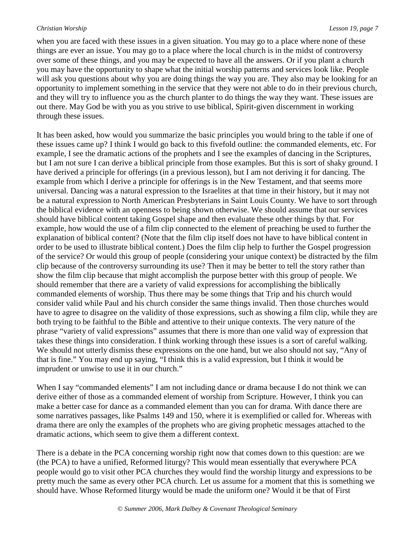when you are faced with these issues in a given situation. You may go to a place where none of these things are ever an issue. You may go to a place where the local church is in the midst of controversy over some of these things, and you may be expected to have all the answers. Or if you plant a church you may have the opportunity to shape what the initial worship patterns and services look like. People will ask you questions about why you are doing things the way you are. They also may be looking for an opportunity to implement something in the service that they were not able to do in their previous church, and they will try to influence you as the church planter to do things the way they want. These issues are out there. May God be with you as you strive to use biblical, Spirit-given discernment in working through these issues.

It has been asked, how would you summarize the basic principles you would bring to the table if one of these issues came up? I think I would go back to this fivefold outline: the commanded elements, etc. For example, I see the dramatic actions of the prophets and I see the examples of dancing in the Scriptures, but I am not sure I can derive a biblical principle from those examples. But this is sort of shaky ground. I have derived a principle for offerings (in a previous lesson), but I am not deriving it for dancing. The example from which I derive a principle for offerings is in the New Testament, and that seems more universal. Dancing was a natural expression to the Israelites at that time in their history, but it may not be a natural expression to North American Presbyterians in Saint Louis County. We have to sort through the biblical evidence with an openness to being shown otherwise. We should assume that our services should have biblical content taking Gospel shape and then evaluate these other things by that. For example, how would the use of a film clip connected to the element of preaching be used to further the explanation of biblical content? (Note that the film clip itself does not have to have biblical content in order to be used to illustrate biblical content.) Does the film clip help to further the Gospel progression of the service? Or would this group of people (considering your unique context) be distracted by the film clip because of the controversy surrounding its use? Then it may be better to tell the story rather than show the film clip because that might accomplish the purpose better with this group of people. We should remember that there are a variety of valid expressions for accomplishing the biblically commanded elements of worship. Thus there may be some things that Trip and his church would consider valid while Paul and his church consider the same things invalid. Then those churches would have to agree to disagree on the validity of those expressions, such as showing a film clip, while they are both trying to be faithful to the Bible and attentive to their unique contexts. The very nature of the phrase "variety of valid expressions" assumes that there is more than one valid way of expression that takes these things into consideration. I think working through these issues is a sort of careful walking. We should not utterly dismiss these expressions on the one hand, but we also should not say, "Any of that is fine." You may end up saying, "I think this is a valid expression, but I think it would be imprudent or unwise to use it in our church."

When I say "commanded elements" I am not including dance or drama because I do not think we can derive either of those as a commanded element of worship from Scripture. However, I think you can make a better case for dance as a commanded element than you can for drama. With dance there are some narratives passages, like Psalms 149 and 150, where it is exemplified or called for. Whereas with drama there are only the examples of the prophets who are giving prophetic messages attached to the dramatic actions, which seem to give them a different context.

There is a debate in the PCA concerning worship right now that comes down to this question: are we (the PCA) to have a unified, Reformed liturgy? This would mean essentially that everywhere PCA people would go to visit other PCA churches they would find the worship liturgy and expressions to be pretty much the same as every other PCA church. Let us assume for a moment that this is something we should have. Whose Reformed liturgy would be made the uniform one? Would it be that of First